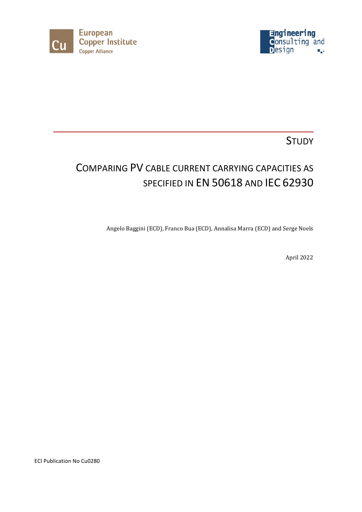



# **STUDY**

# COMPARING PV CABLE CURRENT CARRYING CAPACITIES AS SPECIFIED IN EN 50618 AND IEC 62930

Angelo Baggini (ECD), Franco Bua (ECD), Annalisa Marra (ECD) and Serge Noels

April 2022

ECI Publication No Cu0280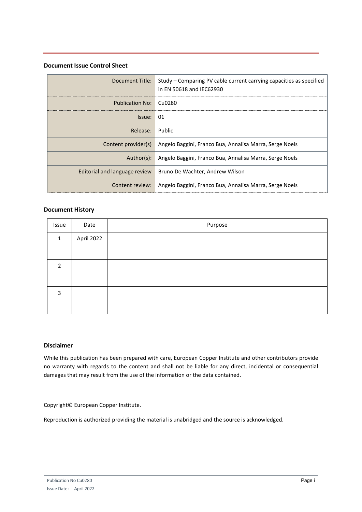#### **Document Issue Control Sheet**

|                               | Document Title:   Study – Comparing PV cable current carrying capacities as specified<br>in EN 50618 and IEC62930 |
|-------------------------------|-------------------------------------------------------------------------------------------------------------------|
| Publication No:   Cu0280      |                                                                                                                   |
| Issue: 01                     |                                                                                                                   |
| Release: Public               |                                                                                                                   |
| Content provider(s)           | Angelo Baggini, Franco Bua, Annalisa Marra, Serge Noels                                                           |
| Author(s):                    | Angelo Baggini, Franco Bua, Annalisa Marra, Serge Noels                                                           |
| Editorial and language review | Bruno De Wachter, Andrew Wilson                                                                                   |
|                               | Content review:   Angelo Baggini, Franco Bua, Annalisa Marra, Serge Noels                                         |

### **Document History**

| Issue        | Date       | Purpose |
|--------------|------------|---------|
| $\mathbf{1}$ | April 2022 |         |
|              |            |         |
| 2            |            |         |
|              |            |         |
| 3            |            |         |
|              |            |         |

### **Disclaimer**

While this publication has been prepared with care, European Copper Institute and other contributors provide no warranty with regards to the content and shall not be liable for any direct, incidental or consequential damages that may result from the use of the information or the data contained.

Copyright© European Copper Institute.

Reproduction is authorized providing the material is unabridged and the source is acknowledged.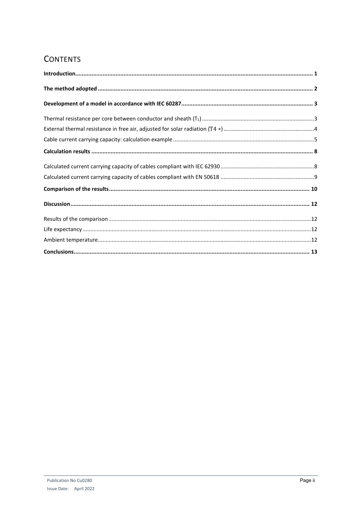# **CONTENTS**

| $\label{lem:1} \textbf{Introduction} \textbf{.} \textbf{.} \textbf{.} \textbf{.} \textbf{.} \textbf{.} \textbf{.} \textbf{.} \textbf{.} \textbf{.} \textbf{.} \textbf{.} \textbf{.} \textbf{.} \textbf{.} \textbf{.} \textbf{.} \textbf{.} \textbf{.} \textbf{.} \textbf{.} \textbf{.} \textbf{.} \textbf{.} \textbf{.} \textbf{.} \textbf{.} \textbf{.} \textbf{.} \textbf{.} \textbf{.} \textbf{.} \textbf{.} \textbf{.} \textbf$ |  |
|-------------------------------------------------------------------------------------------------------------------------------------------------------------------------------------------------------------------------------------------------------------------------------------------------------------------------------------------------------------------------------------------------------------------------------------|--|
|                                                                                                                                                                                                                                                                                                                                                                                                                                     |  |
|                                                                                                                                                                                                                                                                                                                                                                                                                                     |  |
|                                                                                                                                                                                                                                                                                                                                                                                                                                     |  |
|                                                                                                                                                                                                                                                                                                                                                                                                                                     |  |
|                                                                                                                                                                                                                                                                                                                                                                                                                                     |  |
|                                                                                                                                                                                                                                                                                                                                                                                                                                     |  |
|                                                                                                                                                                                                                                                                                                                                                                                                                                     |  |
|                                                                                                                                                                                                                                                                                                                                                                                                                                     |  |
|                                                                                                                                                                                                                                                                                                                                                                                                                                     |  |
|                                                                                                                                                                                                                                                                                                                                                                                                                                     |  |
|                                                                                                                                                                                                                                                                                                                                                                                                                                     |  |
|                                                                                                                                                                                                                                                                                                                                                                                                                                     |  |
|                                                                                                                                                                                                                                                                                                                                                                                                                                     |  |
|                                                                                                                                                                                                                                                                                                                                                                                                                                     |  |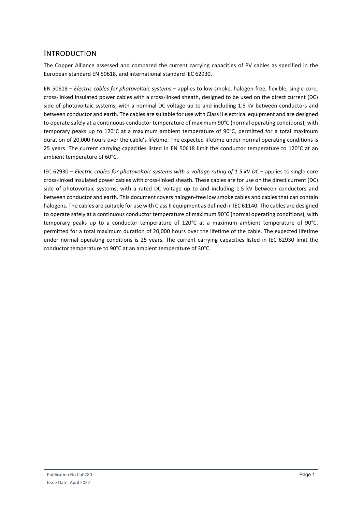### <span id="page-3-0"></span>INTRODUCTION

The Copper Alliance assessed and compared the current carrying capacities of PV cables as specified in the European standard EN 50618, and international standard IEC 62930.

EN 50618 – *Electric cables for photovoltaic systems* – applies to low smoke, halogen-free, flexible, single-core, cross-linked insulated power cables with a cross-linked sheath, designed to be used on the direct current (DC) side of photovoltaic systems, with a nominal DC voltage up to and including 1.5 kV between conductors and between conductor and earth. The cables are suitable for use with Class II electrical equipment and are designed to operate safely at a continuous conductor temperature of maximum 90°C (normal operating conditions), with temporary peaks up to 120°C at a maximum ambient temperature of 90°C, permitted for a total maximum duration of 20,000 hours over the cable's lifetime. The expected lifetime under normal operating conditions is 25 years. The current carrying capacities listed in EN 50618 limit the conductor temperature to 120°C at an ambient temperature of 60°C.

IEC 62930 – *Electric cables for photovoltaic systems with a voltage rating of 1.5 kV DC* – applies to single-core cross-linked insulated power cables with cross-linked sheath. These cables are for use on the direct current (DC) side of photovoltaic systems, with a rated DC voltage up to and including 1.5 kV between conductors and between conductor and earth. This document covers halogen-free low smoke cables and cables that can contain halogens. The cables are suitable for use with Class II equipment as defined in IEC 61140. The cables are designed to operate safely at a continuous conductor temperature of maximum 90°C (normal operating conditions), with temporary peaks up to a conductor temperature of 120°C at a maximum ambient temperature of 90°C, permitted for a total maximum duration of 20,000 hours over the lifetime of the cable. The expected lifetime under normal operating conditions is 25 years. The current carrying capacities listed in IEC 62930 limit the conductor temperature to 90°C at an ambient temperature of 30°C.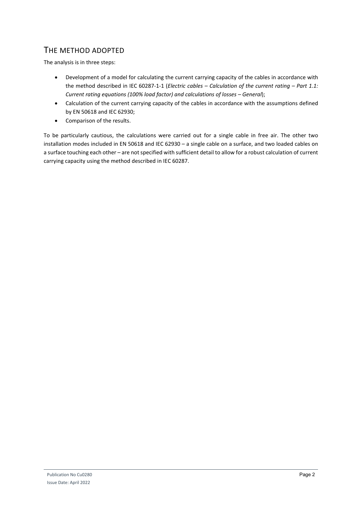# <span id="page-4-0"></span>THE METHOD ADOPTED

The analysis is in three steps:

- Development of a model for calculating the current carrying capacity of the cables in accordance with the method described in IEC 60287-1-1 (*Electric cables – Calculation of the current rating – Part 1.1: Current rating equations (100% load factor) and calculations of losses – General*);
- Calculation of the current carrying capacity of the cables in accordance with the assumptions defined by EN 50618 and IEC 62930;
- Comparison of the results.

To be particularly cautious, the calculations were carried out for a single cable in free air. The other two installation modes included in EN 50618 and IEC 62930 – a single cable on a surface, and two loaded cables on a surface touching each other – are not specified with sufficient detail to allow for a robust calculation of current carrying capacity using the method described in IEC 60287.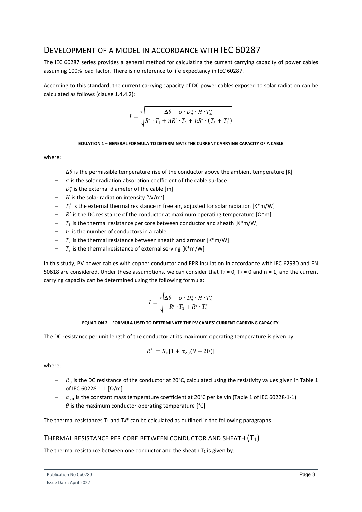# <span id="page-5-0"></span>DEVELOPMENT OF A MODEL IN ACCORDANCE WITH IEC 60287

The IEC 60287 series provides a general method for calculating the current carrying capacity of power cables assuming 100% load factor. There is no reference to life expectancy in IEC 60287.

According to this standard, the current carrying capacity of DC power cables exposed to solar radiation can be calculated as follows (clause 1.4.4.2):

$$
I = \sqrt[2]{\frac{\Delta\theta - \sigma \cdot D_e^* \cdot H \cdot T_4^*}{R' \cdot T_1 + nR' \cdot T_2 + nR' \cdot (T_3 + T_4^*)}}
$$

#### **EQUATION 1 – GENERAL FORMULA TO DETERMINATE THE CURRENT CARRYING CAPACITY OF A CABLE**

where:

- $-\Delta\theta$  is the permissible temperature rise of the conductor above the ambient temperature [K]
- $\sigma$  is the solar radiation absorption coefficient of the cable surface
- $D_e^*$  is the external diameter of the cable [m]
- $H$  is the solar radiation intensity  $[W/m^2]$
- $T_4^*$  is the external thermal resistance in free air, adjusted for solar radiation [K\*m/W]
- $R'$  is the DC resistance of the conductor at maximum operating temperature  $[\Omega^*m]$
- $T_1$  is the thermal resistance per core between conductor and sheath  $[K^*m/W]$
- $\eta$  is the number of conductors in a cable
- $T_2$  is the thermal resistance between sheath and armour [K\*m/W]
- $T_3$  is the thermal resistance of external serving [K\*m/W]

In this study, PV power cables with copper conductor and EPR insulation in accordance with IEC 62930 and EN 50618 are considered. Under these assumptions, we can consider that  $T_2 = 0$ ,  $T_3 = 0$  and  $n = 1$ , and the current carrying capacity can be determined using the following formula:

$$
I = \sqrt[2]{\frac{\Delta\theta - \sigma \cdot D_e^* \cdot H \cdot T_4^*}{R' \cdot T_1 + R' \cdot T_4^*}}
$$

#### **EQUATION 2 – FORMULA USED TO DETERMINATE THE PV CABLES' CURRENT CARRYING CAPACITY.**

<span id="page-5-2"></span>The DC resistance per unit length of the conductor at its maximum operating temperature is given by:

$$
R' = R_0[1 + \alpha_{20}(\theta - 20)]
$$

where:

- $-$  R<sub>0</sub> is the DC resistance of the conductor at 20°C, calculated using the resistivity values given in Table 1 of IEC 60228-1-1 [Ω/m]
- $\alpha_{20}$  is the constant mass temperature coefficient at 20°C per kelvin (Table 1 of IEC 60228-1-1)<br>  $\alpha_{20}$  is the maximum conductor operating temperature <sup>[°</sup>C]
- $\theta$  is the maximum conductor operating temperature [°C]

The thermal resistances  $T_1$  and  $T_4$ \* can be calculated as outlined in the following paragraphs.

### <span id="page-5-1"></span>THERMAL RESISTANCE PER CORE BETWEEN CONDUCTOR AND SHEATH  $(T_1)$

The thermal resistance between one conductor and the sheath  $T_1$  is given by: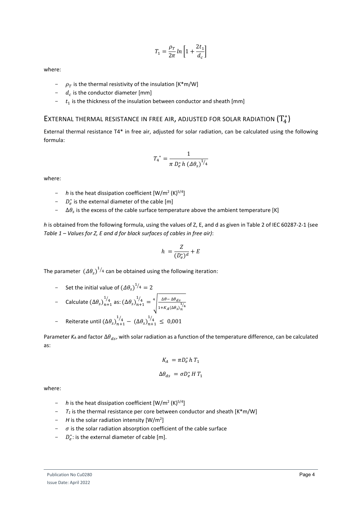$$
T_1 = \frac{\rho_T}{2\pi} \ln\left[1 + \frac{2t_1}{d_c}\right]
$$

where:

- $\rho_T$  is the thermal resistivity of the insulation [K\*m/W]
- $d_c$  is the conductor diameter [mm]
- $t_1$  is the thickness of the insulation between conductor and sheath [mm]

# <span id="page-6-0"></span>EXTERNAL THERMAL RESISTANCE IN FREE AIR, ADJUSTED FOR SOLAR RADIATION  $\left(T^*_4\right)$

External thermal resistance T4\* in free air, adjusted for solar radiation, can be calculated using the following formula:

$$
T_4^* = \frac{1}{\pi D_e^* h \left(\Delta \theta_s\right)^{1/4}}
$$

where:

- *- h* is the heat dissipation coefficient  $[W/m^2 (K)^{5/4}]$
- $D_e^*$  is the external diameter of the cable [m]
- $-\Delta\theta_s$  is the excess of the cable surface temperature above the ambient temperature [K]

*h* is obtained from the following formula, using the values of Z, E, and d as given in Table 2 of IEC 60287-2-1 (see *[Table 1 – Values for Z, E and d for black surfaces of cables in free air\)](#page-6-1)*:

$$
h = \frac{Z}{(D_e^*)^d} + E
$$

The parameter  $(A\theta_s)^{1/4}$  can be obtained using the following iteration:

- Set the initial value of  $(\Delta \theta_s)^{1/4} = 2$ 

- Calculate 
$$
(\Delta \theta_s)_{n+1}^{1/4}
$$
 as:  $(\Delta \theta_s)_{n+1}^{1/4} = \sqrt[4]{\frac{\Delta \theta - \Delta \theta_{ds}}{1 + K_A(\Delta \theta_s)_n^{1/4}}}$ 

- Reiterate until 
$$
(\Delta \theta_s)_{n+1}^{1/4} - (\Delta \theta_s)_{n+1}^{1/4} \leq 0.001
$$

Parameter *K*<sub>A</sub> and factor  $\Delta\theta_{ds}$ , with solar radiation as a function of the temperature difference, can be calculated as:

$$
K_A = \pi D_e^* h T_1
$$

$$
\Delta\theta_{ds} = \sigma D_e^* H T_1
$$

where:

- *- h* is the heat dissipation coefficient  $[W/m^2 (K)^{5/4}]$
- $T_1$  is the thermal resistance per core between conductor and sheath  $[K^*m/W]$
- $-$  *H* is the solar radiation intensity  $[W/m^2]$
- $\sigma$  is the solar radiation absorption coefficient of the cable surface
- <span id="page-6-1"></span> $D_e^*$ : is the external diameter of cable [m].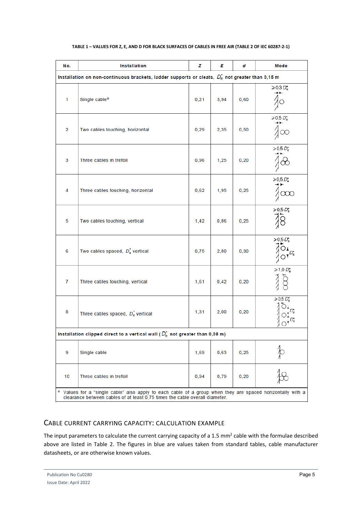| No.                                                                                                                                                                                                  | Installation                                    | d    | Mode |      |                               |  |  |
|------------------------------------------------------------------------------------------------------------------------------------------------------------------------------------------------------|-------------------------------------------------|------|------|------|-------------------------------|--|--|
| Installation on non-continuous brackets, ladder supports or cleats, $D_e^*$ not greater than 0,15 m                                                                                                  |                                                 |      |      |      |                               |  |  |
| $\mathbf{1}$                                                                                                                                                                                         | Single cable <sup>a</sup>                       | 0,21 | 3,94 | 0,60 | $\geqslant$ 0.3 $D_{\rm e}^*$ |  |  |
| 2                                                                                                                                                                                                    | Two cables touching, horizontal                 | 0,29 | 2,35 | 0,50 | $> 0.5 D_e^*$<br>$\sqrt{2}$   |  |  |
| 3                                                                                                                                                                                                    | Three cables in trefoil                         | 0,96 | 1,25 | 0,20 | $\ge 0.5 D_e^*$               |  |  |
| 4                                                                                                                                                                                                    | Three cables touching, horizontal               | 0,62 | 1,95 | 0,25 | $\geq 0.5 D_e^*$<br>$\infty$  |  |  |
| 5                                                                                                                                                                                                    | Two cables touching, vertical                   | 1,42 | 0,86 | 0,25 | $78.50$<br>$8.50$             |  |  |
| 6                                                                                                                                                                                                    | Two cables spaced, $D_e^*$ vertical             | 0,75 | 2,80 | 0,30 | $\ge 0.5 D_e^*$               |  |  |
| $\overline{7}$                                                                                                                                                                                       | Three cables touching, vertical                 | 1,61 | 0,42 | 0,20 | $\geq 1.0 D_e^*$              |  |  |
| 8                                                                                                                                                                                                    | Three cables spaced, $D_e^*$ vertical           | 1,31 | 2,00 | 0,20 | $\ge 0.5 D_e^*$               |  |  |
| Installation clipped direct to a vertical wall ( $D_{\rm e}^*$ not greater than 0,08 m)                                                                                                              |                                                 |      |      |      |                               |  |  |
| 9                                                                                                                                                                                                    | Single cable                                    | 1,69 | 0,63 | 0,25 |                               |  |  |
| 10                                                                                                                                                                                                   | Three cables in trefoil<br>0,94<br>0,79<br>0,20 |      |      |      |                               |  |  |
| <sup>a</sup> Values for a "single cable" also apply to each cable of a group when they are spaced horizontally with a<br>clearance between cables of at least 0,75 times the cable overall diameter. |                                                 |      |      |      |                               |  |  |

### **TABLE 1 – VALUES FOR Z, E, AND D FOR BLACK SURFACES OF CABLES IN FREE AIR (TABLE 2 OF IEC 60287-2-1)**

#### <span id="page-7-0"></span>CABLE CURRENT CARRYING CAPACITY: CALCULATION EXAMPLE

<span id="page-7-1"></span>The input parameters to calculate the current carrying capacity of a 1.5 mm<sup>2</sup> cable with the formulae described above are listed in [Table](#page-7-1) 2. The figures in blue are values taken from standard tables, cable manufacturer datasheets, or are otherwise known values.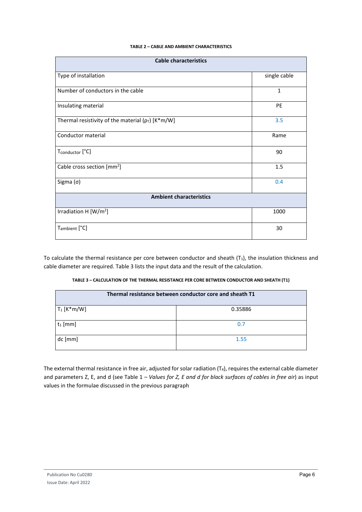#### **TABLE 2 – CABLE AND AMBIENT CHARACTERISTICS**

| <b>Cable characteristics</b>                          |              |  |  |  |  |
|-------------------------------------------------------|--------------|--|--|--|--|
| Type of installation                                  | single cable |  |  |  |  |
| Number of conductors in the cable                     | $\mathbf{1}$ |  |  |  |  |
| Insulating material                                   | <b>PE</b>    |  |  |  |  |
| Thermal resistivity of the material ( $p_T$ ) [K*m/W] | 3.5          |  |  |  |  |
| Conductor material                                    | Rame         |  |  |  |  |
| Tconductor [°C]                                       | 90           |  |  |  |  |
| Cable cross section [mm <sup>2</sup> ]                | 1.5          |  |  |  |  |
| Sigma $(σ)$                                           | 0.4          |  |  |  |  |
| <b>Ambient characteristics</b>                        |              |  |  |  |  |
| Irradiation H $[W/m^2]$                               | 1000         |  |  |  |  |
| T <sub>ambient</sub> [°C]                             | 30           |  |  |  |  |

To calculate the thermal resistance per core between conductor and sheath  $(T_1)$ , the insulation thickness and cable diameter are required[. Table 3](#page-8-0) lists the input data and the result of the calculation.

<span id="page-8-0"></span>

| TABLE 3 - CALCULATION OF THE THERMAL RESISTANCE PER CORE BETWEEN CONDUCTOR AND SHEATH (T1) |  |
|--------------------------------------------------------------------------------------------|--|
|                                                                                            |  |

| Thermal resistance between conductor core and sheath T1 |         |  |  |  |
|---------------------------------------------------------|---------|--|--|--|
| $T_1$ [K*m/W]                                           | 0.35886 |  |  |  |
| $t_1$ [mm]                                              | 0.7     |  |  |  |
| dc [mm]                                                 | 1.55    |  |  |  |

The external thermal resistance in free air, adjusted for solar radiation (T4), requires the external cable diameter and parameters Z, E, and d (see Table 1 *[– Values for Z, E and d for black surfaces of cables in free air](#page-6-1)*) as input values in the formulae discussed in the previous paragraph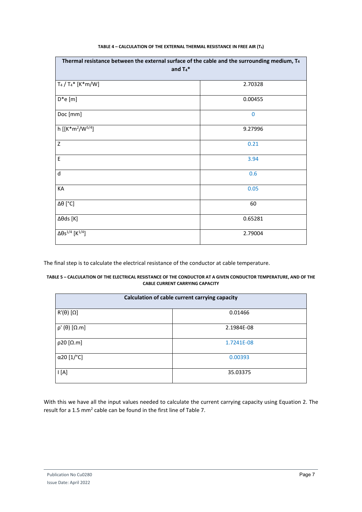| TABLE 4 - CALCULATION OF THE EXTERNAL THERMAL RESISTANCE IN FREE AIR (T <sub>4</sub> ) |  |  |  |  |
|----------------------------------------------------------------------------------------|--|--|--|--|
|----------------------------------------------------------------------------------------|--|--|--|--|

| Thermal resistance between the external surface of the cable and the surrounding medium, $T_4$<br>and $Ta^*$ |              |  |  |  |
|--------------------------------------------------------------------------------------------------------------|--------------|--|--|--|
| $T_4 / T_4$ * [K*m/W]                                                                                        | 2.70328      |  |  |  |
| $D^*e[m]$                                                                                                    | 0.00455      |  |  |  |
| Doc [mm]                                                                                                     | $\mathbf{0}$ |  |  |  |
| h [[K*m <sup>2</sup> /W <sup>5/4</sup> ]                                                                     | 9.27996      |  |  |  |
| Z                                                                                                            | 0.21         |  |  |  |
| E                                                                                                            | 3.94         |  |  |  |
| $\sf d$                                                                                                      | 0.6          |  |  |  |
| KA                                                                                                           | 0.05         |  |  |  |
| $\Delta\theta$ [°C]                                                                                          | 60           |  |  |  |
| $\Delta\theta$ ds [K]                                                                                        | 0.65281      |  |  |  |
| $\Delta \theta s^{1/4}$ [K <sup>1/4</sup> ]                                                                  | 2.79004      |  |  |  |

The final step is to calculate the electrical resistance of the conductor at cable temperature.

#### **TABLE 5 – CALCULATION OF THE ELECTRICAL RESISTANCE OF THE CONDUCTOR AT A GIVEN CONDUCTOR TEMPERATURE, AND OF THE CABLE CURRENT CARRYING CAPACITY**

| Calculation of cable current carrying capacity |            |  |  |  |  |
|------------------------------------------------|------------|--|--|--|--|
| $R'(\theta) [\Omega]$                          | 0.01466    |  |  |  |  |
| $\rho'(\theta)$ [ $\Omega.m$ ]                 | 2.1984E-08 |  |  |  |  |
| $p20$ [ $\Omega$ .m]                           | 1.7241E-08 |  |  |  |  |
| α20 [1/°C]                                     | 0.00393    |  |  |  |  |
| $\mathsf{I}$ [A]                               | 35.03375   |  |  |  |  |

With this we have all the input values needed to calculate the current carrying capacity using [Equation 2.](#page-5-2) The result for a 1.5 mm<sup>2</sup> cable can be found in the first line of Table 7.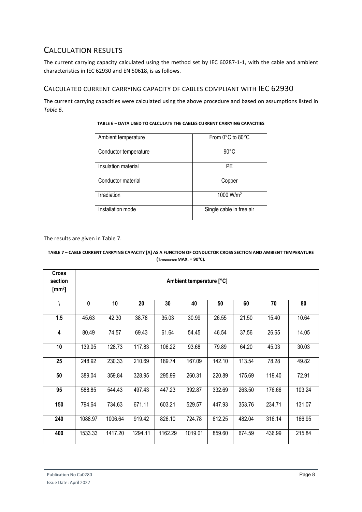# <span id="page-10-0"></span>CALCULATION RESULTS

The current carrying capacity calculated using the method set by IEC 60287-1-1, with the cable and ambient characteristics in IEC 62930 and EN 50618, is as follows.

### <span id="page-10-1"></span>CALCULATED CURRENT CARRYING CAPACITY OF CABLES COMPLIANT WITH IEC 62930

<span id="page-10-3"></span>The current carrying capacities were calculated using the above procedure and based on assumptions listed in *[Table 6](#page-10-3)*.

| Ambient temperature   | From $0^{\circ}$ C to $80^{\circ}$ C |
|-----------------------|--------------------------------------|
| Conductor temperature | $90^{\circ}$ C                       |
| Insulation material   | PF                                   |
| Conductor material    | Copper                               |
| Irradiation           | 1000 W/m <sup>2</sup>                |
| Installation mode     | Single cable in free air             |

#### **TABLE 6 – DATA USED TO CALCULATE THE CABLES CURRENT CARRYING CAPACITIES**

The results are given in [Table 7.](#page-10-2)

#### <span id="page-10-2"></span>**TABLE 7 – CABLE CURRENT CARRYING CAPACITY [A] AS A FUNCTION OF CONDUCTOR CROSS SECTION AND AMBIENT TEMPERATURE (Тсонристок МАХ. = 90°С).**

| <b>Cross</b><br>section<br>[mm <sup>2</sup> ] | Ambient temperature [°C] |         |         |         |         |        |        |        |        |
|-----------------------------------------------|--------------------------|---------|---------|---------|---------|--------|--------|--------|--------|
|                                               | $\mathbf{0}$             | 10      | 20      | 30      | 40      | 50     | 60     | 70     | 80     |
| 1.5                                           | 45.63                    | 42.30   | 38.78   | 35.03   | 30.99   | 26.55  | 21.50  | 15.40  | 10.64  |
| 4                                             | 80.49                    | 74.57   | 69.43   | 61.64   | 54.45   | 46.54  | 37.56  | 26.65  | 14.05  |
| 10                                            | 139.05                   | 128.73  | 117.83  | 106.22  | 93.68   | 79.89  | 64.20  | 45.03  | 30.03  |
| 25                                            | 248.92                   | 230.33  | 210.69  | 189.74  | 167.09  | 142.10 | 113.54 | 78.28  | 49.82  |
| 50                                            | 389.04                   | 359.84  | 328.95  | 295.99  | 260.31  | 220.89 | 175.69 | 119.40 | 72.91  |
| 95                                            | 588.85                   | 544.43  | 497.43  | 447.23  | 392.87  | 332.69 | 263.50 | 176.66 | 103.24 |
| 150                                           | 794.64                   | 734.63  | 671.11  | 603.21  | 529.57  | 447.93 | 353.76 | 234.71 | 131.07 |
| 240                                           | 1088.97                  | 1006.64 | 919.42  | 826.10  | 724.78  | 612.25 | 482.04 | 316.14 | 166.95 |
| 400                                           | 1533.33                  | 1417.20 | 1294.11 | 1162.29 | 1019.01 | 859.60 | 674.59 | 436.99 | 215.84 |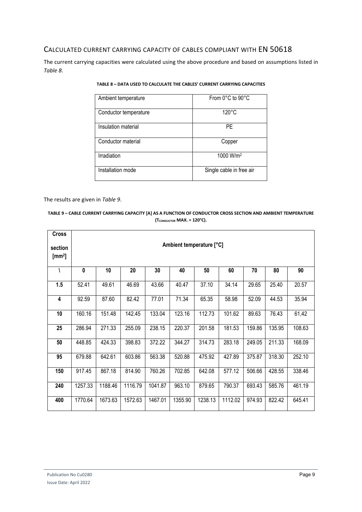### <span id="page-11-0"></span>CALCULATED CURRENT CARRYING CAPACITY OF CABLES COMPLIANT WITH EN 50618

<span id="page-11-1"></span>The current carrying capacities were calculated using the above procedure and based on assumptions listed in *[Table 8](#page-11-1)*.

| Ambient temperature   | From 0°C to 90°C         |
|-----------------------|--------------------------|
| Conductor temperature | $120^{\circ}$ C          |
| Insulation material   | PF                       |
| Conductor material    | Copper                   |
| Irradiation           | 1000 W/m <sup>2</sup>    |
| Installation mode     | Single cable in free air |

**TABLE 8 – DATA USED TO CALCULATE THE CABLES' CURRENT CARRYING CAPACITIES**

The results are given in *[Table 9](#page-11-2)*.

#### <span id="page-11-2"></span>**TABLE 9 – CABLE CURRENT CARRYING CAPACITY [A] AS A FUNCTION OF CONDUCTOR CROSS SECTION AND AMBIENT TEMPERATURE (TCONDUCTOR MAX. = 120°C).**

| Cross                         |                          |         |         |         |         |         |         |        |        |        |
|-------------------------------|--------------------------|---------|---------|---------|---------|---------|---------|--------|--------|--------|
| section<br>[mm <sup>2</sup> ] | Ambient temperature [°C] |         |         |         |         |         |         |        |        |        |
|                               | 0                        | 10      | 20      | 30      | 40      | 50      | 60      | 70     | 80     | 90     |
| 1.5                           | 52.41                    | 49.61   | 46.69   | 43.66   | 40.47   | 37.10   | 34.14   | 29.65  | 25.40  | 20.57  |
| 4                             | 92.59                    | 87.60   | 82.42   | 77.01   | 71.34   | 65.35   | 58.98   | 52.09  | 44.53  | 35.94  |
| 10                            | 160.16                   | 151.48  | 142.45  | 133.04  | 123.16  | 112.73  | 101.62  | 89.63  | 76.43  | 61,42  |
| 25                            | 286.94                   | 271.33  | 255.09  | 238.15  | 220.37  | 201.58  | 181.53  | 159.86 | 135.95 | 108.63 |
| 50                            | 448.85                   | 424.33  | 398.83  | 372.22  | 344.27  | 314.73  | 283.18  | 249.05 | 211.33 | 168.09 |
| 95                            | 679.88                   | 642.61  | 603.86  | 563.38  | 520.88  | 475.92  | 427.89  | 375.87 | 318.30 | 252.10 |
| 150                           | 917.45                   | 867.18  | 814.90  | 760.26  | 702.85  | 642.08  | 577.12  | 506.66 | 428.55 | 338.46 |
| 240                           | 1257.33                  | 1188.46 | 1116.79 | 1041.87 | 963.10  | 879.65  | 790.37  | 693.43 | 585.76 | 461.19 |
| 400                           | 1770.64                  | 1673.63 | 1572.63 | 1467.01 | 1355.90 | 1238.13 | 1112.02 | 974.93 | 822.42 | 645.41 |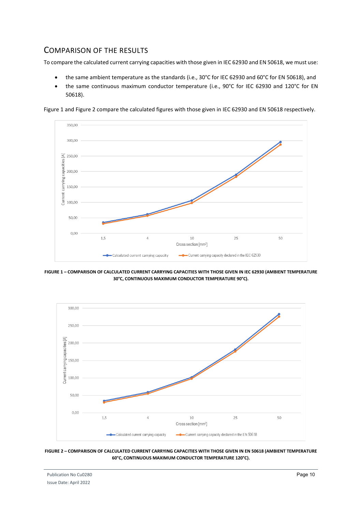# <span id="page-12-0"></span>COMPARISON OF THE RESULTS

To compare the calculated current carrying capacities with those given in IEC 62930 and EN 50618, we must use:

- the same ambient temperature as the standards (i.e., 30°C for IEC 62930 and 60°C for EN 50618), and
- the same continuous maximum conductor temperature (i.e., 90°C for IEC 62930 and 120°C for EN 50618).

[Figure 1](#page-12-1) an[d Figure 2](#page-12-2) compare the calculated figures with those given in IEC 62930 and EN 50618 respectively.



<span id="page-12-1"></span>**FIGURE 1 – COMPARISON OF CALCULATED CURRENT CARRYING CAPACITIES WITH THOSE GIVEN IN IEC 62930 (AMBIENT TEMPERATURE 30°C, CONTINUOUS MAXIMUM CONDUCTOR TEMPERATURE 90°C).**



<span id="page-12-2"></span>**FIGURE 2 – COMPARISON OF CALCULATED CURRENT CARRYING CAPACITIES WITH THOSE GIVEN IN EN 50618 (AMBIENT TEMPERATURE 60°C, CONTINUOUS MAXIMUM CONDUCTOR TEMPERATURE 120°C).**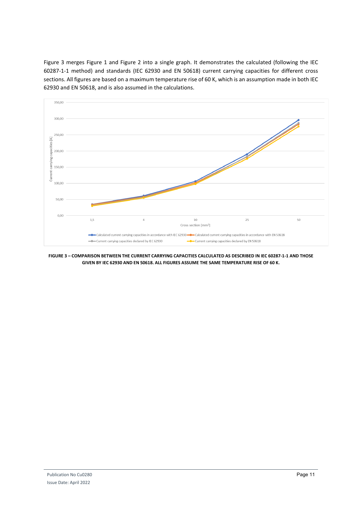[Figure](#page-13-0) 3 merges Figure 1 and Figure 2 into a single graph. It demonstrates the calculated (following the IEC 60287-1-1 method) and standards (IEC 62930 and EN 50618) current carrying capacities for different cross sections. All figures are based on a maximum temperature rise of 60 K, which is an assumption made in both IEC 62930 and EN 50618, and is also assumed in the calculations.

<span id="page-13-0"></span>

**FIGURE 3 – COMPARISON BETWEEN THE CURRENT CARRYING CAPACITIES CALCULATED AS DESCRIBED IN IEC 60287-1-1 AND THOSE GIVEN BY IEC 62930 AND EN 50618. ALL FIGURES ASSUME THE SAME TEMPERATURE RISE OF 60 K.**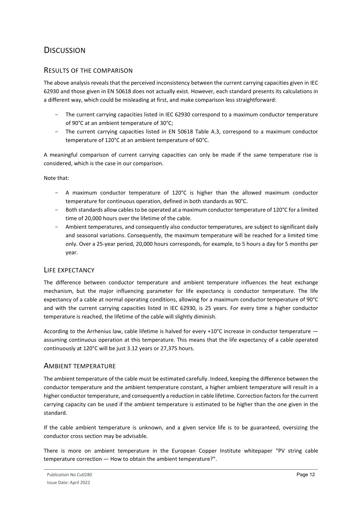# <span id="page-14-0"></span>**DISCUSSION**

### <span id="page-14-1"></span>RESULTS OF THE COMPARISON

The above analysis reveals that the perceived inconsistency between the current carrying capacities given in IEC 62930 and those given in EN 50618 does not actually exist. However, each standard presents its calculations in a different way, which could be misleading at first, and make comparison less straightforward:

- The current carrying capacities listed in IEC 62930 correspond to a maximum conductor temperature of 90°C at an ambient temperature of 30°C;
- The current carrying capacities listed in EN 50618 Table A.3, correspond to a maximum conductor temperature of 120°C at an ambient temperature of 60°C.

A meaningful comparison of current carrying capacities can only be made if the same temperature rise is considered, which is the case in our comparison.

Note that:

- $-$  A maximum conductor temperature of 120 $^{\circ}$ C is higher than the allowed maximum conductor temperature for continuous operation, defined in both standards as 90°C.
- Both standards allow cables to be operated at a maximum conductor temperature of 120°C for a limited time of 20,000 hours over the lifetime of the cable.
- Ambient temperatures, and consequently also conductor temperatures, are subject to significant daily and seasonal variations. Consequently, the maximum temperature will be reached for a limited time only. Over a 25-year period, 20,000 hours corresponds, for example, to 5 hours a day for 5 months per year.

#### <span id="page-14-2"></span>LIFE EXPECTANCY

The difference between conductor temperature and ambient temperature influences the heat exchange mechanism, but the major influencing parameter for life expectancy is conductor temperature. The life expectancy of a cable at normal operating conditions, allowing for a maximum conductor temperature of 90°C and with the current carrying capacities listed in IEC 62930, is 25 years. For every time a higher conductor temperature is reached, the lifetime of the cable will slightly diminish.

According to the Arrhenius law, cable lifetime is halved for every +10°C increase in conductor temperature assuming continuous operation at this temperature. This means that the life expectancy of a cable operated continuously at 120°C will be just 3.12 years or 27,375 hours.

#### <span id="page-14-3"></span>AMBIENT TEMPERATURE

The ambient temperature of the cable must be estimated carefully. Indeed, keeping the difference between the conductor temperature and the ambient temperature constant, a higher ambient temperature will result in a higher conductor temperature, and consequently a reduction in cable lifetime. Correction factors for the current carrying capacity can be used if the ambient temperature is estimated to be higher than the one given in the standard.

If the cable ambient temperature is unknown, and a given service life is to be guaranteed, oversizing the conductor cross section may be advisable.

There is more on ambient temperature in the European Copper Institute whitepaper "PV string cable temperature correction — How to obtain the ambient temperature?".